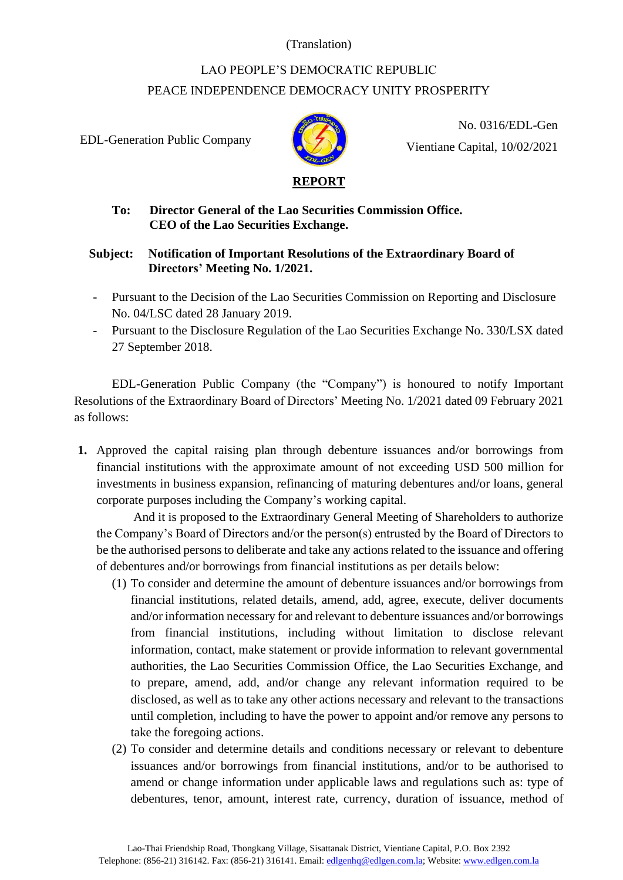### (Translation)

# LAO PEOPLE'S DEMOCRATIC REPUBLIC PEACE INDEPENDENCE DEMOCRACY UNITY PROSPERITY

EDL-Generation Public Company



No. 0316/EDL-Gen Vientiane Capital, 10/02/2021

# **To: Director General of the Lao Securities Commission Office. CEO of the Lao Securities Exchange.**

## **Subject: Notification of Important Resolutions of the Extraordinary Board of Directors' Meeting No. 1/2021.**

- Pursuant to the Decision of the Lao Securities Commission on Reporting and Disclosure No. 04/LSC dated 28 January 2019.
- Pursuant to the Disclosure Regulation of the Lao Securities Exchange No. 330/LSX dated 27 September 2018.

EDL-Generation Public Company (the "Company") is honoured to notify Important Resolutions of the Extraordinary Board of Directors' Meeting No. 1/2021 dated 09 February 2021 as follows:

**1.** Approved the capital raising plan through debenture issuances and/or borrowings from financial institutions with the approximate amount of not exceeding USD 500 million for investments in business expansion, refinancing of maturing debentures and/or loans, general corporate purposes including the Company's working capital.

And it is proposed to the Extraordinary General Meeting of Shareholders to authorize the Company's Board of Directors and/or the person(s) entrusted by the Board of Directors to be the authorised persons to deliberate and take any actions related to the issuance and offering of debentures and/or borrowings from financial institutions as per details below:

- (1) To consider and determine the amount of debenture issuances and/or borrowings from financial institutions, related details, amend, add, agree, execute, deliver documents and/or information necessary for and relevant to debenture issuances and/or borrowings from financial institutions, including without limitation to disclose relevant information, contact, make statement or provide information to relevant governmental authorities, the Lao Securities Commission Office, the Lao Securities Exchange, and to prepare, amend, add, and/or change any relevant information required to be disclosed, as well as to take any other actions necessary and relevant to the transactions until completion, including to have the power to appoint and/or remove any persons to take the foregoing actions.
- (2) To consider and determine details and conditions necessary or relevant to debenture issuances and/or borrowings from financial institutions, and/or to be authorised to amend or change information under applicable laws and regulations such as: type of debentures, tenor, amount, interest rate, currency, duration of issuance, method of